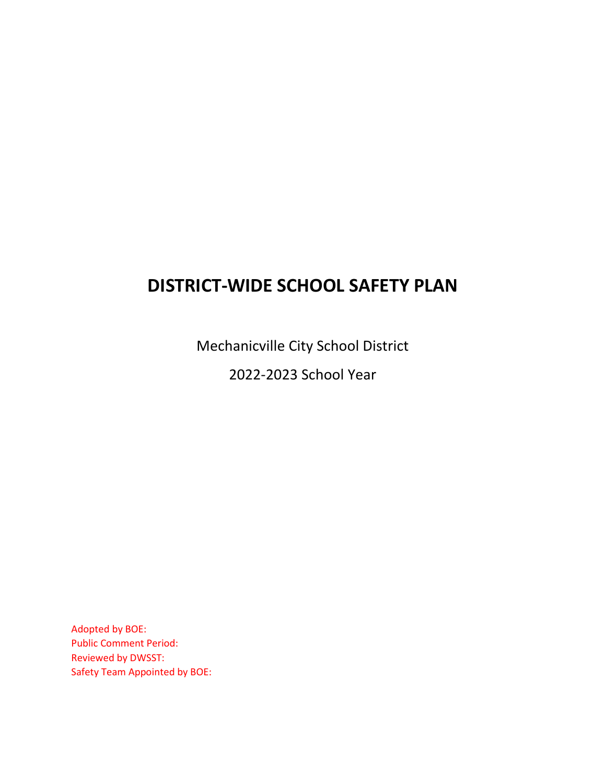# **DISTRICT-WIDE SCHOOL SAFETY PLAN**

Mechanicville City School District 2022-2023 School Year

Adopted by BOE: Public Comment Period: Reviewed by DWSST: Safety Team Appointed by BOE: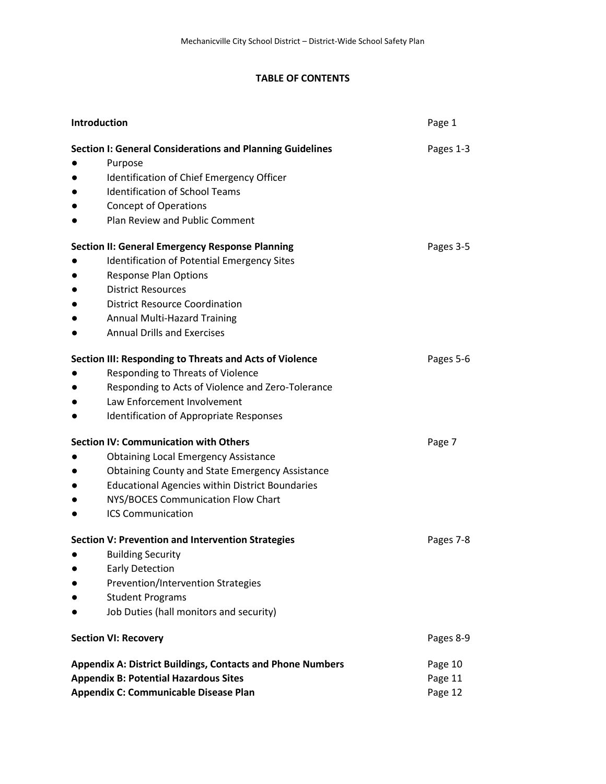# **TABLE OF CONTENTS**

| Introduction                                                                                                                                                                                                                                                                             | Page 1                        |
|------------------------------------------------------------------------------------------------------------------------------------------------------------------------------------------------------------------------------------------------------------------------------------------|-------------------------------|
| <b>Section I: General Considerations and Planning Guidelines</b><br>Purpose<br>Identification of Chief Emergency Officer<br><b>Identification of School Teams</b><br><b>Concept of Operations</b><br><b>Plan Review and Public Comment</b>                                               | Pages 1-3                     |
| <b>Section II: General Emergency Response Planning</b><br>Identification of Potential Emergency Sites<br><b>Response Plan Options</b><br><b>District Resources</b><br><b>District Resource Coordination</b><br><b>Annual Multi-Hazard Training</b><br><b>Annual Drills and Exercises</b> | Pages 3-5                     |
| Section III: Responding to Threats and Acts of Violence<br>Responding to Threats of Violence<br>Responding to Acts of Violence and Zero-Tolerance<br>Law Enforcement Involvement<br><b>Identification of Appropriate Responses</b>                                                       | Pages 5-6                     |
| <b>Section IV: Communication with Others</b><br><b>Obtaining Local Emergency Assistance</b><br><b>Obtaining County and State Emergency Assistance</b><br><b>Educational Agencies within District Boundaries</b><br>NYS/BOCES Communication Flow Chart<br><b>ICS Communication</b>        | Page 7                        |
| Section V: Prevention and Intervention Strategies<br><b>Building Security</b><br><b>Early Detection</b><br>Prevention/Intervention Strategies<br><b>Student Programs</b><br>Job Duties (hall monitors and security)                                                                      | Pages 7-8                     |
| <b>Section VI: Recovery</b>                                                                                                                                                                                                                                                              | Pages 8-9                     |
| <b>Appendix A: District Buildings, Contacts and Phone Numbers</b><br><b>Appendix B: Potential Hazardous Sites</b><br>Appendix C: Communicable Disease Plan                                                                                                                               | Page 10<br>Page 11<br>Page 12 |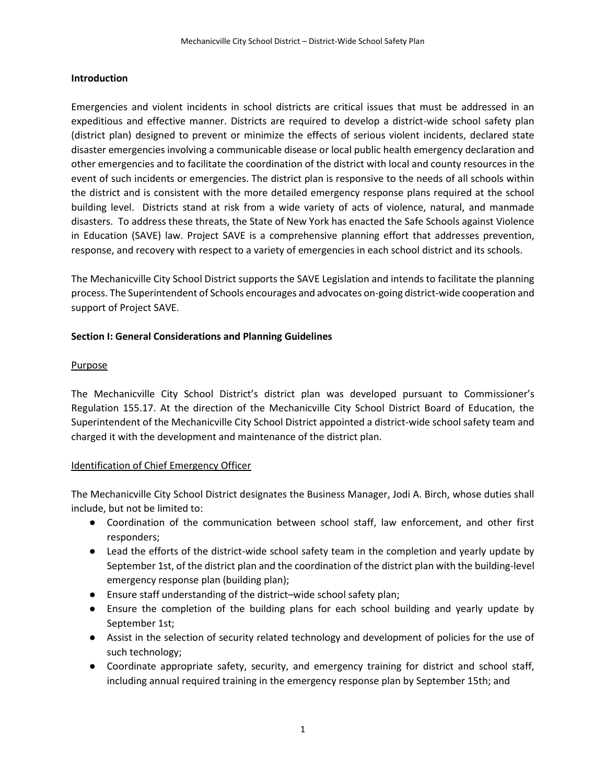### **Introduction**

Emergencies and violent incidents in school districts are critical issues that must be addressed in an expeditious and effective manner. Districts are required to develop a district-wide school safety plan (district plan) designed to prevent or minimize the effects of serious violent incidents, declared state disaster emergencies involving a communicable disease or local public health emergency declaration and other emergencies and to facilitate the coordination of the district with local and county resources in the event of such incidents or emergencies. The district plan is responsive to the needs of all schools within the district and is consistent with the more detailed emergency response plans required at the school building level. Districts stand at risk from a wide variety of acts of violence, natural, and manmade disasters. To address these threats, the State of New York has enacted the Safe Schools against Violence in Education (SAVE) law. Project SAVE is a comprehensive planning effort that addresses prevention, response, and recovery with respect to a variety of emergencies in each school district and its schools.

The Mechanicville City School District supports the SAVE Legislation and intends to facilitate the planning process. The Superintendent of Schools encourages and advocates on-going district-wide cooperation and support of Project SAVE.

### **Section I: General Considerations and Planning Guidelines**

### Purpose

The Mechanicville City School District's district plan was developed pursuant to Commissioner's Regulation 155.17. At the direction of the Mechanicville City School District Board of Education, the Superintendent of the Mechanicville City School District appointed a district-wide school safety team and charged it with the development and maintenance of the district plan.

# Identification of Chief Emergency Officer

The Mechanicville City School District designates the Business Manager, Jodi A. Birch, whose duties shall include, but not be limited to:

- Coordination of the communication between school staff, law enforcement, and other first responders;
- Lead the efforts of the district-wide school safety team in the completion and yearly update by September 1st, of the district plan and the coordination of the district plan with the building-level emergency response plan (building plan);
- Ensure staff understanding of the district–wide school safety plan;
- Ensure the completion of the building plans for each school building and yearly update by September 1st;
- Assist in the selection of security related technology and development of policies for the use of such technology;
- Coordinate appropriate safety, security, and emergency training for district and school staff, including annual required training in the emergency response plan by September 15th; and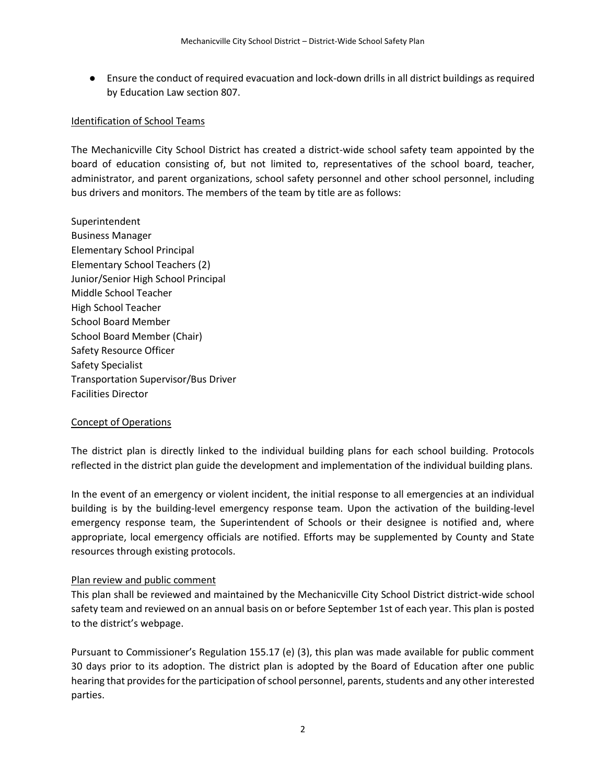● Ensure the conduct of required evacuation and lock-down drills in all district buildings as required by Education Law section 807.

#### Identification of School Teams

The Mechanicville City School District has created a district-wide school safety team appointed by the board of education consisting of, but not limited to, representatives of the school board, teacher, administrator, and parent organizations, school safety personnel and other school personnel, including bus drivers and monitors. The members of the team by title are as follows:

Superintendent Business Manager Elementary School Principal Elementary School Teachers (2) Junior/Senior High School Principal Middle School Teacher High School Teacher School Board Member School Board Member (Chair) Safety Resource Officer Safety Specialist Transportation Supervisor/Bus Driver Facilities Director

#### Concept of Operations

The district plan is directly linked to the individual building plans for each school building. Protocols reflected in the district plan guide the development and implementation of the individual building plans.

In the event of an emergency or violent incident, the initial response to all emergencies at an individual building is by the building-level emergency response team. Upon the activation of the building-level emergency response team, the Superintendent of Schools or their designee is notified and, where appropriate, local emergency officials are notified. Efforts may be supplemented by County and State resources through existing protocols.

#### Plan review and public comment

This plan shall be reviewed and maintained by the Mechanicville City School District district-wide school safety team and reviewed on an annual basis on or before September 1st of each year. This plan is posted to the district's webpage.

Pursuant to Commissioner's Regulation 155.17 (e) (3), this plan was made available for public comment 30 days prior to its adoption. The district plan is adopted by the Board of Education after one public hearing that provides for the participation of school personnel, parents, students and any other interested parties.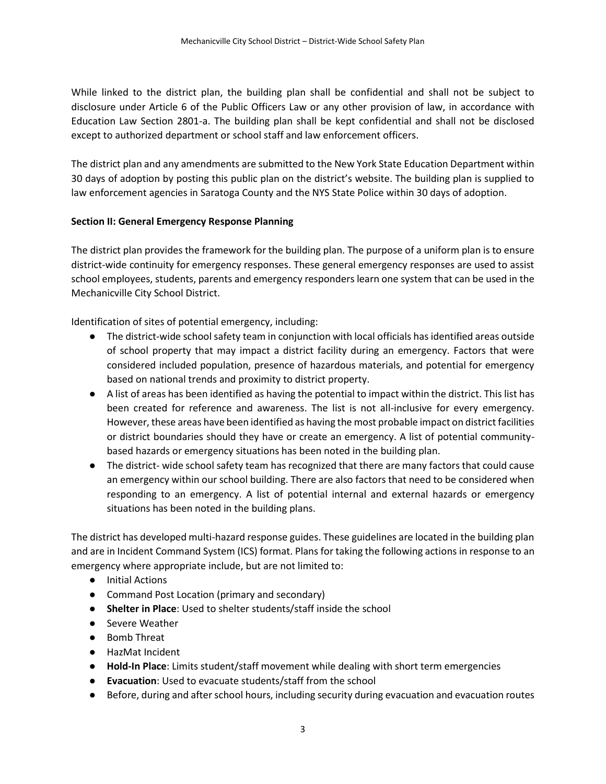While linked to the district plan, the building plan shall be confidential and shall not be subject to disclosure under Article 6 of the Public Officers Law or any other provision of law, in accordance with Education Law Section 2801-a. The building plan shall be kept confidential and shall not be disclosed except to authorized department or school staff and law enforcement officers.

The district plan and any amendments are submitted to the New York State Education Department within 30 days of adoption by posting this public plan on the district's website. The building plan is supplied to law enforcement agencies in Saratoga County and the NYS State Police within 30 days of adoption.

### **Section II: General Emergency Response Planning**

The district plan provides the framework for the building plan. The purpose of a uniform plan is to ensure district-wide continuity for emergency responses. These general emergency responses are used to assist school employees, students, parents and emergency responders learn one system that can be used in the Mechanicville City School District.

Identification of sites of potential emergency, including:

- The district-wide school safety team in conjunction with local officials has identified areas outside of school property that may impact a district facility during an emergency. Factors that were considered included population, presence of hazardous materials, and potential for emergency based on national trends and proximity to district property.
- A list of areas has been identified as having the potential to impact within the district. This list has been created for reference and awareness. The list is not all-inclusive for every emergency. However, these areas have been identified as having the most probable impact on district facilities or district boundaries should they have or create an emergency. A list of potential communitybased hazards or emergency situations has been noted in the building plan.
- The district- wide school safety team has recognized that there are many factors that could cause an emergency within our school building. There are also factors that need to be considered when responding to an emergency. A list of potential internal and external hazards or emergency situations has been noted in the building plans.

The district has developed multi-hazard response guides. These guidelines are located in the building plan and are in Incident Command System (ICS) format. Plans for taking the following actions in response to an emergency where appropriate include, but are not limited to:

- Initial Actions
- Command Post Location (primary and secondary)
- **Shelter in Place**: Used to shelter students/staff inside the school
- Severe Weather
- Bomb Threat
- HazMat Incident
- **Hold-In Place**: Limits student/staff movement while dealing with short term emergencies
- **Evacuation**: Used to evacuate students/staff from the school
- Before, during and after school hours, including security during evacuation and evacuation routes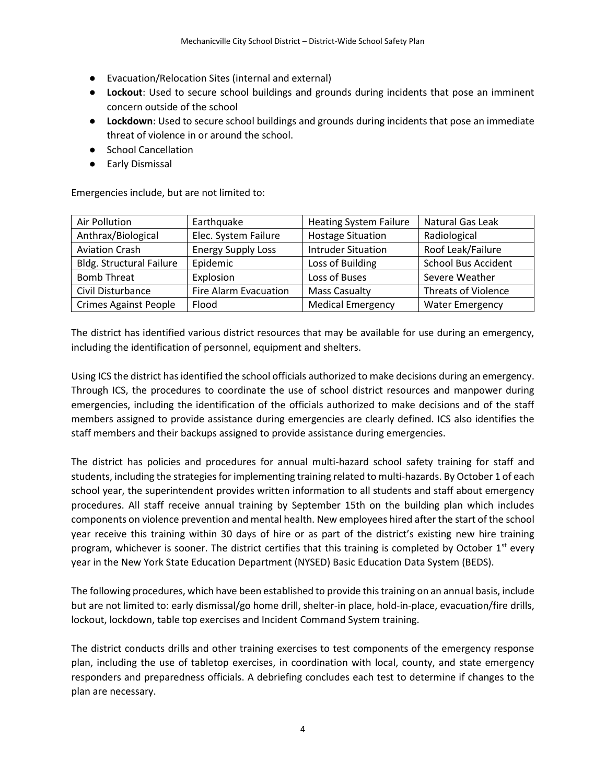- Evacuation/Relocation Sites (internal and external)
- **Lockout**: Used to secure school buildings and grounds during incidents that pose an imminent concern outside of the school
- **Lockdown**: Used to secure school buildings and grounds during incidents that pose an immediate threat of violence in or around the school.
- School Cancellation
- Early Dismissal

Emergencies include, but are not limited to:

| Air Pollution                   | Earthquake                | <b>Heating System Failure</b> | Natural Gas Leak           |
|---------------------------------|---------------------------|-------------------------------|----------------------------|
| Anthrax/Biological              | Elec. System Failure      | <b>Hostage Situation</b>      | Radiological               |
| <b>Aviation Crash</b>           | <b>Energy Supply Loss</b> | <b>Intruder Situation</b>     | Roof Leak/Failure          |
| <b>Bldg. Structural Failure</b> | Epidemic                  | Loss of Building              | <b>School Bus Accident</b> |
| <b>Bomb Threat</b>              | Explosion                 | Loss of Buses                 | Severe Weather             |
| Civil Disturbance               | Fire Alarm Evacuation     | <b>Mass Casualty</b>          | <b>Threats of Violence</b> |
| <b>Crimes Against People</b>    | Flood                     | <b>Medical Emergency</b>      | <b>Water Emergency</b>     |

The district has identified various district resources that may be available for use during an emergency, including the identification of personnel, equipment and shelters.

Using ICS the district has identified the school officials authorized to make decisions during an emergency. Through ICS, the procedures to coordinate the use of school district resources and manpower during emergencies, including the identification of the officials authorized to make decisions and of the staff members assigned to provide assistance during emergencies are clearly defined. ICS also identifies the staff members and their backups assigned to provide assistance during emergencies.

The district has policies and procedures for annual multi-hazard school safety training for staff and students, including the strategies for implementing training related to multi-hazards. By October 1 of each school year, the superintendent provides written information to all students and staff about emergency procedures. All staff receive annual training by September 15th on the building plan which includes components on violence prevention and mental health. New employees hired after the start of the school year receive this training within 30 days of hire or as part of the district's existing new hire training program, whichever is sooner. The district certifies that this training is completed by October  $1^{st}$  every year in the New York State Education Department (NYSED) Basic Education Data System (BEDS).

The following procedures, which have been established to provide this training on an annual basis, include but are not limited to: early dismissal/go home drill, shelter-in place, hold-in-place, evacuation/fire drills, lockout, lockdown, table top exercises and Incident Command System training.

The district conducts drills and other training exercises to test components of the emergency response plan, including the use of tabletop exercises, in coordination with local, county, and state emergency responders and preparedness officials. A debriefing concludes each test to determine if changes to the plan are necessary.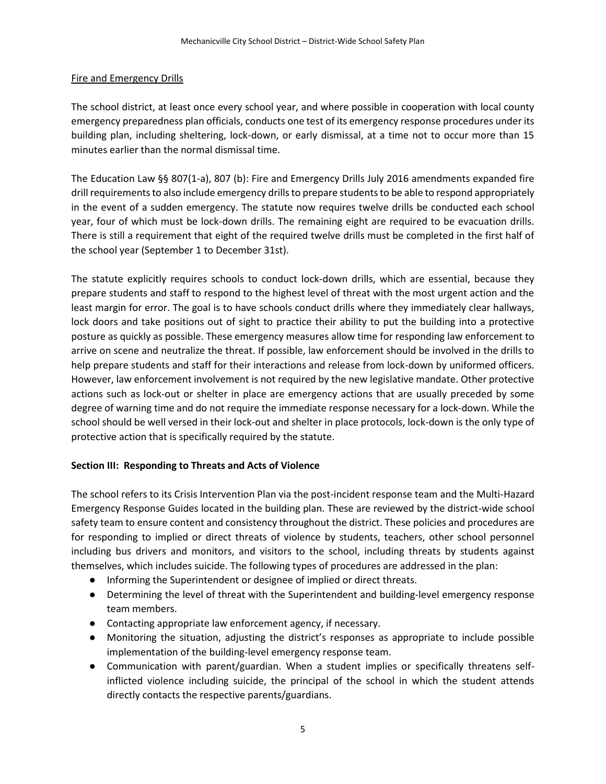### Fire and Emergency Drills

The school district, at least once every school year, and where possible in cooperation with local county emergency preparedness plan officials, conducts one test of its emergency response procedures under its building plan, including sheltering, lock-down, or early dismissal, at a time not to occur more than 15 minutes earlier than the normal dismissal time.

The Education Law §§ 807(1-a), 807 (b): Fire and Emergency Drills July 2016 amendments expanded fire drill requirements to also include emergency drills to prepare students to be able to respond appropriately in the event of a sudden emergency. The statute now requires twelve drills be conducted each school year, four of which must be lock-down drills. The remaining eight are required to be evacuation drills. There is still a requirement that eight of the required twelve drills must be completed in the first half of the school year (September 1 to December 31st).

The statute explicitly requires schools to conduct lock-down drills, which are essential, because they prepare students and staff to respond to the highest level of threat with the most urgent action and the least margin for error. The goal is to have schools conduct drills where they immediately clear hallways, lock doors and take positions out of sight to practice their ability to put the building into a protective posture as quickly as possible. These emergency measures allow time for responding law enforcement to arrive on scene and neutralize the threat. If possible, law enforcement should be involved in the drills to help prepare students and staff for their interactions and release from lock-down by uniformed officers. However, law enforcement involvement is not required by the new legislative mandate. Other protective actions such as lock-out or shelter in place are emergency actions that are usually preceded by some degree of warning time and do not require the immediate response necessary for a lock-down. While the school should be well versed in their lock-out and shelter in place protocols, lock-down is the only type of protective action that is specifically required by the statute.

# **Section III: Responding to Threats and Acts of Violence**

The school refers to its Crisis Intervention Plan via the post-incident response team and the Multi-Hazard Emergency Response Guides located in the building plan. These are reviewed by the district-wide school safety team to ensure content and consistency throughout the district. These policies and procedures are for responding to implied or direct threats of violence by students, teachers, other school personnel including bus drivers and monitors, and visitors to the school, including threats by students against themselves, which includes suicide. The following types of procedures are addressed in the plan:

- Informing the Superintendent or designee of implied or direct threats.
- Determining the level of threat with the Superintendent and building-level emergency response team members.
- Contacting appropriate law enforcement agency, if necessary.
- Monitoring the situation, adjusting the district's responses as appropriate to include possible implementation of the building-level emergency response team.
- Communication with parent/guardian. When a student implies or specifically threatens selfinflicted violence including suicide, the principal of the school in which the student attends directly contacts the respective parents/guardians.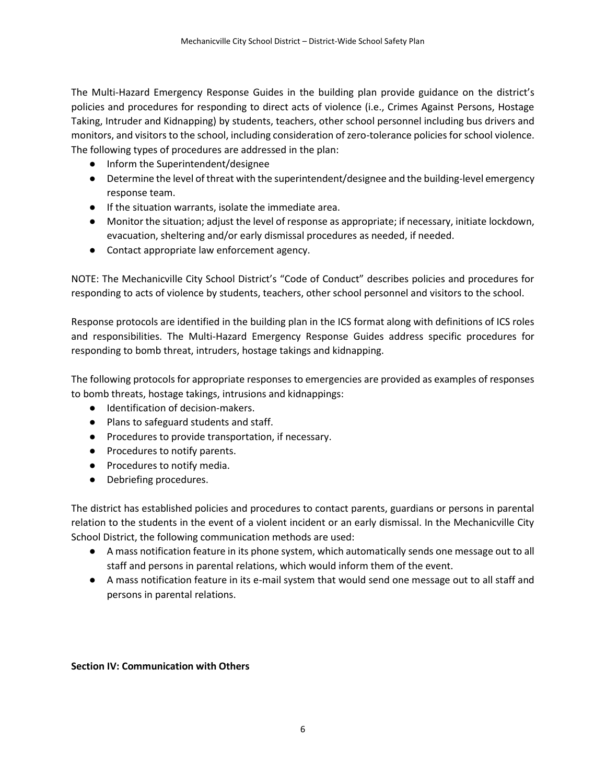The Multi-Hazard Emergency Response Guides in the building plan provide guidance on the district's policies and procedures for responding to direct acts of violence (i.e., Crimes Against Persons, Hostage Taking, Intruder and Kidnapping) by students, teachers, other school personnel including bus drivers and monitors, and visitors to the school, including consideration of zero-tolerance policies for school violence. The following types of procedures are addressed in the plan:

- Inform the Superintendent/designee
- Determine the level of threat with the superintendent/designee and the building-level emergency response team.
- If the situation warrants, isolate the immediate area.
- Monitor the situation; adjust the level of response as appropriate; if necessary, initiate lockdown, evacuation, sheltering and/or early dismissal procedures as needed, if needed.
- Contact appropriate law enforcement agency.

NOTE: The Mechanicville City School District's "Code of Conduct" describes policies and procedures for responding to acts of violence by students, teachers, other school personnel and visitors to the school.

Response protocols are identified in the building plan in the ICS format along with definitions of ICS roles and responsibilities. The Multi-Hazard Emergency Response Guides address specific procedures for responding to bomb threat, intruders, hostage takings and kidnapping.

The following protocols for appropriate responses to emergencies are provided as examples of responses to bomb threats, hostage takings, intrusions and kidnappings:

- Identification of decision-makers.
- Plans to safeguard students and staff.
- Procedures to provide transportation, if necessary.
- Procedures to notify parents.
- Procedures to notify media.
- Debriefing procedures.

The district has established policies and procedures to contact parents, guardians or persons in parental relation to the students in the event of a violent incident or an early dismissal. In the Mechanicville City School District, the following communication methods are used:

- A mass notification feature in its phone system, which automatically sends one message out to all staff and persons in parental relations, which would inform them of the event.
- A mass notification feature in its e-mail system that would send one message out to all staff and persons in parental relations.

#### **Section IV: Communication with Others**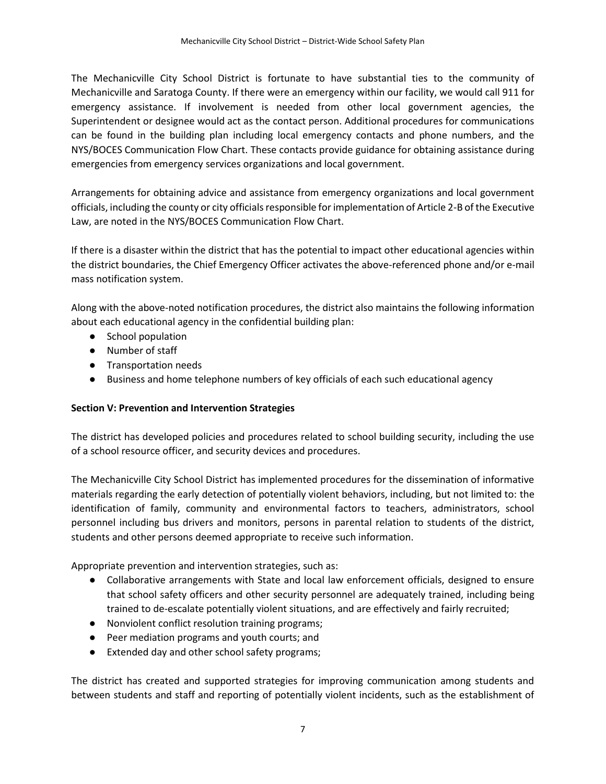The Mechanicville City School District is fortunate to have substantial ties to the community of Mechanicville and Saratoga County. If there were an emergency within our facility, we would call 911 for emergency assistance. If involvement is needed from other local government agencies, the Superintendent or designee would act as the contact person. Additional procedures for communications can be found in the building plan including local emergency contacts and phone numbers, and the NYS/BOCES Communication Flow Chart. These contacts provide guidance for obtaining assistance during emergencies from emergency services organizations and local government.

Arrangements for obtaining advice and assistance from emergency organizations and local government officials, including the county or city officials responsible for implementation of Article 2-B of the Executive Law, are noted in the NYS/BOCES Communication Flow Chart.

If there is a disaster within the district that has the potential to impact other educational agencies within the district boundaries, the Chief Emergency Officer activates the above-referenced phone and/or e-mail mass notification system.

Along with the above-noted notification procedures, the district also maintains the following information about each educational agency in the confidential building plan:

- School population
- Number of staff
- Transportation needs
- Business and home telephone numbers of key officials of each such educational agency

# **Section V: Prevention and Intervention Strategies**

The district has developed policies and procedures related to school building security, including the use of a school resource officer, and security devices and procedures.

The Mechanicville City School District has implemented procedures for the dissemination of informative materials regarding the early detection of potentially violent behaviors, including, but not limited to: the identification of family, community and environmental factors to teachers, administrators, school personnel including bus drivers and monitors, persons in parental relation to students of the district, students and other persons deemed appropriate to receive such information.

Appropriate prevention and intervention strategies, such as:

- Collaborative arrangements with State and local law enforcement officials, designed to ensure that school safety officers and other security personnel are adequately trained, including being trained to de-escalate potentially violent situations, and are effectively and fairly recruited;
- Nonviolent conflict resolution training programs;
- Peer mediation programs and youth courts; and
- Extended day and other school safety programs;

The district has created and supported strategies for improving communication among students and between students and staff and reporting of potentially violent incidents, such as the establishment of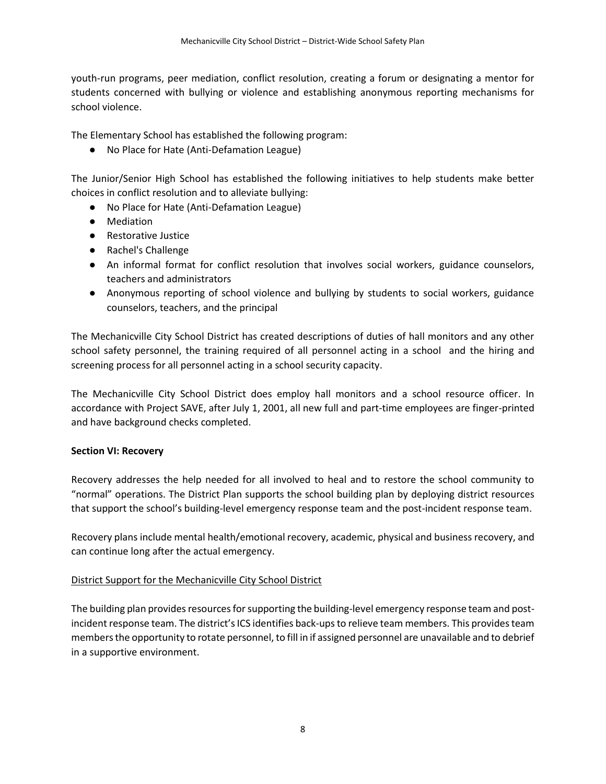youth-run programs, peer mediation, conflict resolution, creating a forum or designating a mentor for students concerned with bullying or violence and establishing anonymous reporting mechanisms for school violence.

The Elementary School has established the following program:

● No Place for Hate (Anti-Defamation League)

The Junior/Senior High School has established the following initiatives to help students make better choices in conflict resolution and to alleviate bullying:

- No Place for Hate (Anti-Defamation League)
- Mediation
- Restorative Justice
- Rachel's Challenge
- An informal format for conflict resolution that involves social workers, guidance counselors, teachers and administrators
- Anonymous reporting of school violence and bullying by students to social workers, guidance counselors, teachers, and the principal

The Mechanicville City School District has created descriptions of duties of hall monitors and any other school safety personnel, the training required of all personnel acting in a school and the hiring and screening process for all personnel acting in a school security capacity.

The Mechanicville City School District does employ hall monitors and a school resource officer. In accordance with Project SAVE, after July 1, 2001, all new full and part-time employees are finger-printed and have background checks completed.

#### **Section VI: Recovery**

Recovery addresses the help needed for all involved to heal and to restore the school community to "normal" operations. The District Plan supports the school building plan by deploying district resources that support the school's building-level emergency response team and the post-incident response team.

Recovery plans include mental health/emotional recovery, academic, physical and business recovery, and can continue long after the actual emergency.

#### District Support for the Mechanicville City School District

The building plan provides resources for supporting the building-level emergency response team and postincident response team. The district's ICS identifies back-ups to relieve team members. This provides team members the opportunity to rotate personnel, to fill in if assigned personnel are unavailable and to debrief in a supportive environment.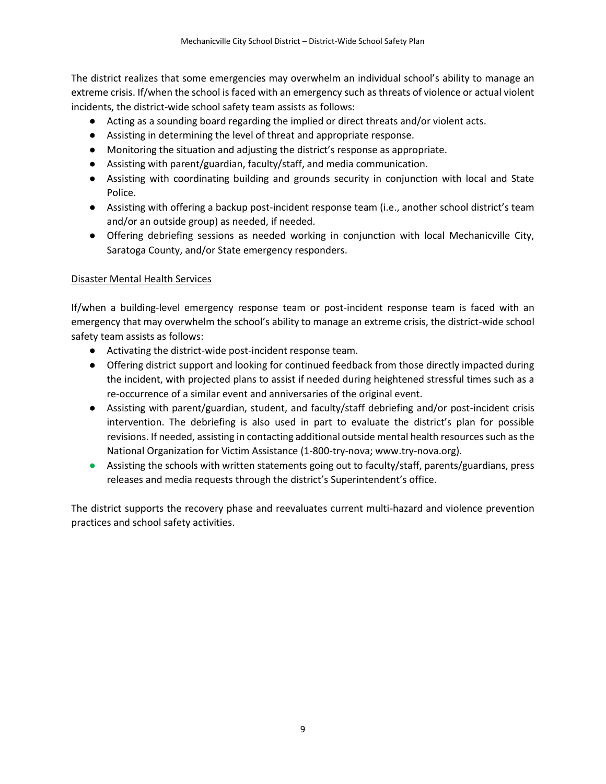The district realizes that some emergencies may overwhelm an individual school's ability to manage an extreme crisis. If/when the school is faced with an emergency such as threats of violence or actual violent incidents, the district-wide school safety team assists as follows:

- Acting as a sounding board regarding the implied or direct threats and/or violent acts.
- Assisting in determining the level of threat and appropriate response.
- Monitoring the situation and adjusting the district's response as appropriate.
- Assisting with parent/guardian, faculty/staff, and media communication.
- Assisting with coordinating building and grounds security in conjunction with local and State Police.
- Assisting with offering a backup post-incident response team (i.e., another school district's team and/or an outside group) as needed, if needed.
- Offering debriefing sessions as needed working in conjunction with local Mechanicville City, Saratoga County, and/or State emergency responders.

### Disaster Mental Health Services

If/when a building-level emergency response team or post-incident response team is faced with an emergency that may overwhelm the school's ability to manage an extreme crisis, the district-wide school safety team assists as follows:

- Activating the district-wide post-incident response team.
- Offering district support and looking for continued feedback from those directly impacted during the incident, with projected plans to assist if needed during heightened stressful times such as a re-occurrence of a similar event and anniversaries of the original event.
- Assisting with parent/guardian, student, and faculty/staff debriefing and/or post-incident crisis intervention. The debriefing is also used in part to evaluate the district's plan for possible revisions. If needed, assisting in contacting additional outside mental health resources such as the National Organization for Victim Assistance (1-800-try-nova; www.try-nova.org).
- Assisting the schools with written statements going out to faculty/staff, parents/guardians, press releases and media requests through the district's Superintendent's office.

The district supports the recovery phase and reevaluates current multi-hazard and violence prevention practices and school safety activities.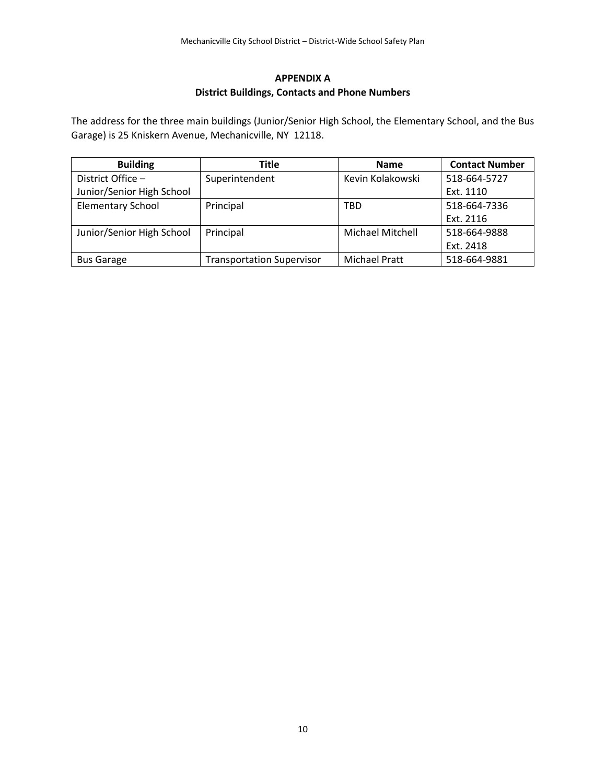# **APPENDIX A District Buildings, Contacts and Phone Numbers**

The address for the three main buildings (Junior/Senior High School, the Elementary School, and the Bus Garage) is 25 Kniskern Avenue, Mechanicville, NY 12118.

| <b>Building</b>           | Title                            | <b>Name</b>             | <b>Contact Number</b> |
|---------------------------|----------------------------------|-------------------------|-----------------------|
| District Office -         | Superintendent                   | Kevin Kolakowski        | 518-664-5727          |
| Junior/Senior High School |                                  |                         | Ext. 1110             |
| <b>Elementary School</b>  | Principal                        | TBD                     | 518-664-7336          |
|                           |                                  |                         | Ext. 2116             |
| Junior/Senior High School | Principal                        | <b>Michael Mitchell</b> | 518-664-9888          |
|                           |                                  |                         | Ext. 2418             |
| <b>Bus Garage</b>         | <b>Transportation Supervisor</b> | <b>Michael Pratt</b>    | 518-664-9881          |